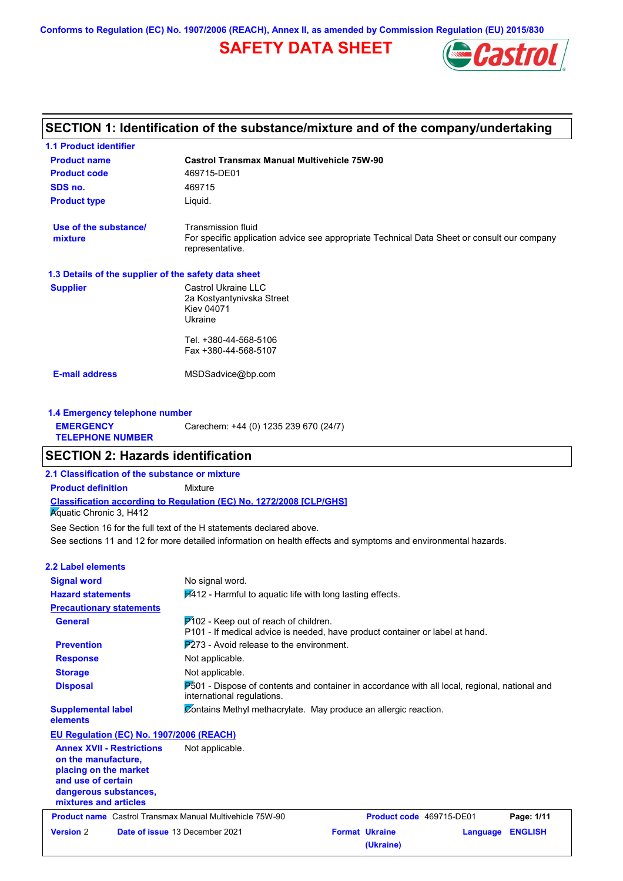**Conforms to Regulation (EC) No. 1907/2006 (REACH), Annex II, as amended by Commission Regulation (EU) 2015/830**

# **SAFETY DATA SHEET**



# **SECTION 1: Identification of the substance/mixture and of the company/undertaking**

| <b>1.1 Product identifier</b>                        |                                                                                                                                      |
|------------------------------------------------------|--------------------------------------------------------------------------------------------------------------------------------------|
| <b>Product name</b>                                  | <b>Castrol Transmax Manual Multivehicle 75W-90</b>                                                                                   |
| <b>Product code</b>                                  | 469715-DE01                                                                                                                          |
| SDS no.                                              | 469715                                                                                                                               |
| <b>Product type</b>                                  | Liquid.                                                                                                                              |
| Use of the substance/<br>mixture                     | Transmission fluid<br>For specific application advice see appropriate Technical Data Sheet or consult our company<br>representative. |
| 1.3 Details of the supplier of the safety data sheet |                                                                                                                                      |
| <b>Supplier</b>                                      | Castrol Ukraine LLC<br>2a Kostyantynivska Street<br><b>Kiev 04071</b><br>Ukraine                                                     |
|                                                      | Tel. +380-44-568-5106                                                                                                                |
|                                                      | Fax +380-44-568-5107                                                                                                                 |
| <b>E-mail address</b>                                | MSDSadvice@bp.com                                                                                                                    |
| 1.4 Emergency telephone number                       |                                                                                                                                      |
| <b>EMERGENCY</b>                                     | Carechem: +44 (0) 1235 239 670 (24/7)                                                                                                |

# **SECTION 2: Hazards identification**

**2.1 Classification of the substance or mixture**

**Classification according to Regulation (EC) No. 1272/2008 [CLP/GHS] Product definition** Mixture

**Aguatic Chronic 3, H412** 

**TELEPHONE NUMBER**

See sections 11 and 12 for more detailed information on health effects and symptoms and environmental hazards. See Section 16 for the full text of the H statements declared above.

| <b>2.2 Label elements</b>                                                                                                                                |                                                                                                                                    |                          |          |                |
|----------------------------------------------------------------------------------------------------------------------------------------------------------|------------------------------------------------------------------------------------------------------------------------------------|--------------------------|----------|----------------|
| <b>Signal word</b>                                                                                                                                       | No signal word.                                                                                                                    |                          |          |                |
| <b>Hazard statements</b>                                                                                                                                 | $H412$ - Harmful to aquatic life with long lasting effects.                                                                        |                          |          |                |
| <b>Precautionary statements</b>                                                                                                                          |                                                                                                                                    |                          |          |                |
| <b>General</b>                                                                                                                                           | $P$ 102 - Keep out of reach of children.<br>P101 - If medical advice is needed, have product container or label at hand.           |                          |          |                |
| <b>Prevention</b>                                                                                                                                        | $P273$ - Avoid release to the environment.                                                                                         |                          |          |                |
| <b>Response</b>                                                                                                                                          | Not applicable.                                                                                                                    |                          |          |                |
| <b>Storage</b>                                                                                                                                           | Not applicable.                                                                                                                    |                          |          |                |
| <b>Disposal</b>                                                                                                                                          | <b>P501</b> - Dispose of contents and container in accordance with all local, regional, national and<br>international regulations. |                          |          |                |
| <b>Supplemental label</b><br>elements                                                                                                                    | Contains Methyl methacrylate. May produce an allergic reaction.                                                                    |                          |          |                |
| EU Regulation (EC) No. 1907/2006 (REACH)                                                                                                                 |                                                                                                                                    |                          |          |                |
| <b>Annex XVII - Restrictions</b><br>on the manufacture,<br>placing on the market<br>and use of certain<br>dangerous substances,<br>mixtures and articles | Not applicable.                                                                                                                    |                          |          |                |
| <b>Product name</b> Castrol Transmax Manual Multivehicle 75W-90                                                                                          |                                                                                                                                    | Product code 469715-DE01 |          | Page: 1/11     |
| <b>Version 2</b>                                                                                                                                         | Date of issue 13 December 2021<br><b>Format Ukraine</b>                                                                            | (Ukraine)                | Language | <b>ENGLISH</b> |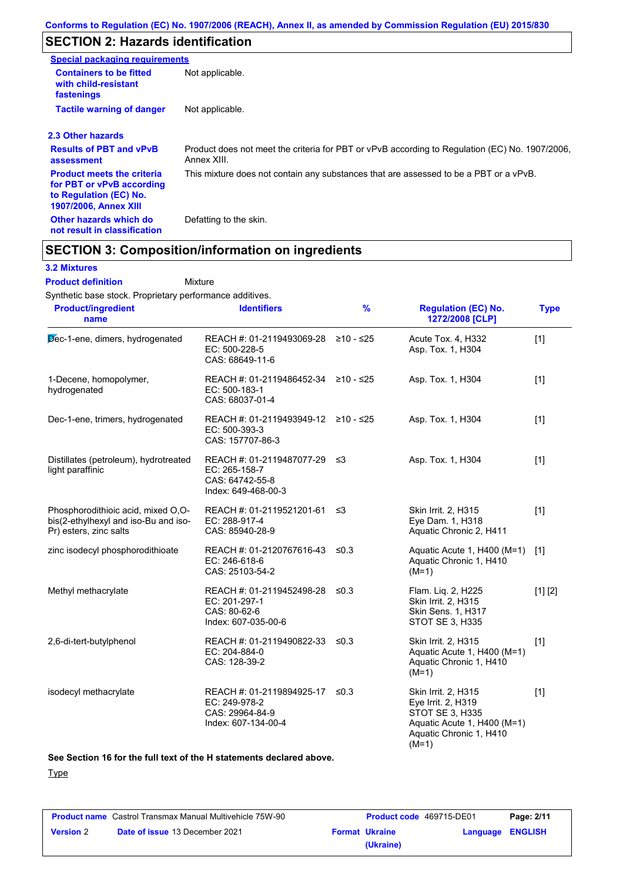# **SECTION 2: Hazards identification**

| <b>Special packaging requirements</b>                                                                                    |                                                                                                               |
|--------------------------------------------------------------------------------------------------------------------------|---------------------------------------------------------------------------------------------------------------|
| <b>Containers to be fitted</b><br>with child-resistant<br>fastenings                                                     | Not applicable.                                                                                               |
| <b>Tactile warning of danger</b>                                                                                         | Not applicable.                                                                                               |
| 2.3 Other hazards                                                                                                        |                                                                                                               |
| <b>Results of PBT and vPvB</b><br>assessment                                                                             | Product does not meet the criteria for PBT or vPvB according to Regulation (EC) No. 1907/2006,<br>Annex XIII. |
| <b>Product meets the criteria</b><br>for PBT or vPvB according<br>to Regulation (EC) No.<br><b>1907/2006, Annex XIII</b> | This mixture does not contain any substances that are assessed to be a PBT or a vPvB.                         |
| Other hazards which do<br>not result in classification                                                                   | Defatting to the skin.                                                                                        |

### **SECTION 3: Composition/information on ingredients**

### **3.2 Mixtures**

Synthetic base stock. Proprietary performance additives. Mixture **Product definition**

| <b>Product/ingredient</b><br>name                                                                    | <b>Identifiers</b>                                                                        | $\%$ | <b>Regulation (EC) No.</b><br>1272/2008 [CLP]                                                                                     | <b>Type</b> |
|------------------------------------------------------------------------------------------------------|-------------------------------------------------------------------------------------------|------|-----------------------------------------------------------------------------------------------------------------------------------|-------------|
| Dec-1-ene, dimers, hydrogenated                                                                      | REACH #: 01-2119493069-28 ≥10 - ≤25<br>EC: 500-228-5<br>CAS: 68649-11-6                   |      | Acute Tox. 4, H332<br>Asp. Tox. 1, H304                                                                                           | $[1]$       |
| 1-Decene, homopolymer,<br>hydrogenated                                                               | REACH #: 01-2119486452-34 ≥10 - ≤25<br>EC: 500-183-1<br>CAS: 68037-01-4                   |      | Asp. Tox. 1, H304                                                                                                                 | $[1]$       |
| Dec-1-ene, trimers, hydrogenated                                                                     | REACH #: 01-2119493949-12 ≥10 - ≤25<br>EC: 500-393-3<br>CAS: 157707-86-3                  |      | Asp. Tox. 1, H304                                                                                                                 | $[1]$       |
| Distillates (petroleum), hydrotreated<br>light paraffinic                                            | REACH #: 01-2119487077-29 ≤3<br>EC: 265-158-7<br>CAS: 64742-55-8<br>Index: 649-468-00-3   |      | Asp. Tox. 1, H304                                                                                                                 | $[1]$       |
| Phosphorodithioic acid, mixed O,O-<br>bis(2-ethylhexyl and iso-Bu and iso-<br>Pr) esters, zinc salts | REACH #: 01-2119521201-61<br>EC: 288-917-4<br>CAS: 85940-28-9                             | ≤3   | Skin Irrit. 2, H315<br>Eye Dam. 1, H318<br>Aquatic Chronic 2, H411                                                                | $[1]$       |
| zinc isodecyl phosphorodithioate                                                                     | REACH #: 01-2120767616-43 ≤0.3<br>EC: 246-618-6<br>CAS: 25103-54-2                        |      | Aquatic Acute 1, H400 (M=1)<br>Aquatic Chronic 1, H410<br>$(M=1)$                                                                 | [1]         |
| Methyl methacrylate                                                                                  | REACH #: 01-2119452498-28 ≤0.3<br>EC: 201-297-1<br>CAS: 80-62-6<br>Index: 607-035-00-6    |      | Flam. Liq. 2, H225<br>Skin Irrit. 2, H315<br><b>Skin Sens. 1, H317</b><br>STOT SE 3, H335                                         | [1] [2]     |
| 2,6-di-tert-butylphenol                                                                              | REACH #: 01-2119490822-33 ≤0.3<br>EC: 204-884-0<br>CAS: 128-39-2                          |      | Skin Irrit. 2, H315<br>Aquatic Acute 1, H400 (M=1)<br>Aquatic Chronic 1, H410<br>$(M=1)$                                          | $[1]$       |
| isodecyl methacrylate                                                                                | REACH #: 01-2119894925-17 ≤0.3<br>EC: 249-978-2<br>CAS: 29964-84-9<br>Index: 607-134-00-4 |      | Skin Irrit. 2, H315<br>Eye Irrit. 2, H319<br>STOT SE 3, H335<br>Aquatic Acute 1, H400 (M=1)<br>Aquatic Chronic 1, H410<br>$(M=1)$ | $[1]$       |

**See Section 16 for the full text of the H statements declared above.**

### **Type**

| <b>Product name</b> Castrol Transmax Manual Multivehicle 75W-90 |                                       | <b>Product code</b> 469715-DE01 |                       | Page: 2/11       |  |
|-----------------------------------------------------------------|---------------------------------------|---------------------------------|-----------------------|------------------|--|
| <b>Version 2</b>                                                | <b>Date of issue 13 December 2021</b> |                                 | <b>Format Ukraine</b> | Language ENGLISH |  |
|                                                                 |                                       |                                 | (Ukraine)             |                  |  |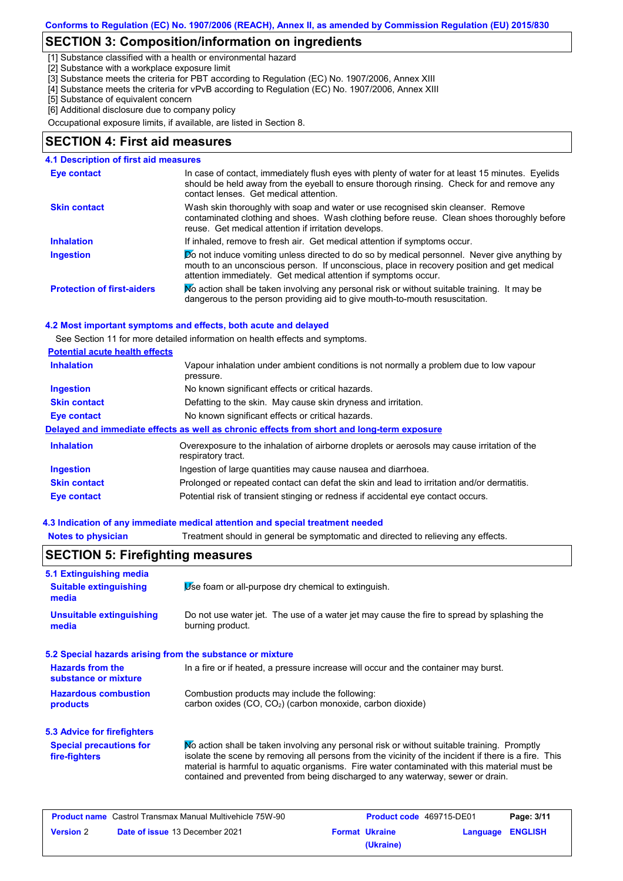### **SECTION 3: Composition/information on ingredients**

[1] Substance classified with a health or environmental hazard

[2] Substance with a workplace exposure limit

[3] Substance meets the criteria for PBT according to Regulation (EC) No. 1907/2006, Annex XIII

[4] Substance meets the criteria for vPvB according to Regulation (EC) No. 1907/2006, Annex XIII

[5] Substance of equivalent concern

[6] Additional disclosure due to company policy

Occupational exposure limits, if available, are listed in Section 8.

### **SECTION 4: First aid measures**

### **4.1 Description of first aid measures**

| Eye contact                       | In case of contact, immediately flush eyes with plenty of water for at least 15 minutes. Eyelids<br>should be held away from the eyeball to ensure thorough rinsing. Check for and remove any<br>contact lenses. Get medical attention.                       |
|-----------------------------------|---------------------------------------------------------------------------------------------------------------------------------------------------------------------------------------------------------------------------------------------------------------|
| <b>Skin contact</b>               | Wash skin thoroughly with soap and water or use recognised skin cleanser. Remove<br>contaminated clothing and shoes. Wash clothing before reuse. Clean shoes thoroughly before<br>reuse. Get medical attention if irritation develops.                        |
| <b>Inhalation</b>                 | If inhaled, remove to fresh air. Get medical attention if symptoms occur.                                                                                                                                                                                     |
| <b>Ingestion</b>                  | Do not induce vomiting unless directed to do so by medical personnel. Never give anything by<br>mouth to an unconscious person. If unconscious, place in recovery position and get medical<br>attention immediately. Get medical attention if symptoms occur. |
| <b>Protection of first-aiders</b> | No action shall be taken involving any personal risk or without suitable training. It may be<br>dangerous to the person providing aid to give mouth-to-mouth resuscitation.                                                                                   |

### **4.2 Most important symptoms and effects, both acute and delayed**

See Section 11 for more detailed information on health effects and symptoms.

| <b>Potential acute health effects</b> |                                                                                                                   |
|---------------------------------------|-------------------------------------------------------------------------------------------------------------------|
| <b>Inhalation</b>                     | Vapour inhalation under ambient conditions is not normally a problem due to low vapour<br>pressure.               |
| <b>Ingestion</b>                      | No known significant effects or critical hazards.                                                                 |
| <b>Skin contact</b>                   | Defatting to the skin. May cause skin dryness and irritation.                                                     |
| <b>Eye contact</b>                    | No known significant effects or critical hazards.                                                                 |
|                                       | Delayed and immediate effects as well as chronic effects from short and long-term exposure                        |
| <b>Inhalation</b>                     | Overexposure to the inhalation of airborne droplets or aerosols may cause irritation of the<br>respiratory tract. |
| <b>Ingestion</b>                      | Ingestion of large quantities may cause nausea and diarrhoea.                                                     |
| <b>Skin contact</b>                   | Prolonged or repeated contact can defat the skin and lead to irritation and/or dermatitis.                        |
| Eye contact                           | Potential risk of transient stinging or redness if accidental eye contact occurs.                                 |

**Notes to physician** Treatment should in general be symptomatic and directed to relieving any effects.

### **4.3 Indication of any immediate medical attention and special treatment needed**

| <b>SECTION 5: Firefighting measures</b>                           |                                                                                                                                                                                                                                                                                                                                                                                       |  |  |  |
|-------------------------------------------------------------------|---------------------------------------------------------------------------------------------------------------------------------------------------------------------------------------------------------------------------------------------------------------------------------------------------------------------------------------------------------------------------------------|--|--|--|
| 5.1 Extinguishing media<br><b>Suitable extinguishing</b><br>media | Use foam or all-purpose dry chemical to extinguish.                                                                                                                                                                                                                                                                                                                                   |  |  |  |
| <b>Unsuitable extinguishing</b><br>media                          | Do not use water jet. The use of a water jet may cause the fire to spread by splashing the<br>burning product.                                                                                                                                                                                                                                                                        |  |  |  |
| 5.2 Special hazards arising from the substance or mixture         |                                                                                                                                                                                                                                                                                                                                                                                       |  |  |  |
| <b>Hazards from the</b><br>substance or mixture                   | In a fire or if heated, a pressure increase will occur and the container may burst.                                                                                                                                                                                                                                                                                                   |  |  |  |
| <b>Hazardous combustion</b><br>products                           | Combustion products may include the following:<br>carbon oxides (CO, CO2) (carbon monoxide, carbon dioxide)                                                                                                                                                                                                                                                                           |  |  |  |
| <b>5.3 Advice for firefighters</b>                                |                                                                                                                                                                                                                                                                                                                                                                                       |  |  |  |
| <b>Special precautions for</b><br>fire-fighters                   | No action shall be taken involving any personal risk or without suitable training. Promptly<br>isolate the scene by removing all persons from the vicinity of the incident if there is a fire. This<br>material is harmful to aquatic organisms. Fire water contaminated with this material must be<br>contained and prevented from being discharged to any waterway, sewer or drain. |  |  |  |

| <b>Product name</b> Castrol Transmax Manual Multivehicle 75W-90 |                                       | <b>Product code</b> 469715-DE01 |                       | Page: 3/11       |  |
|-----------------------------------------------------------------|---------------------------------------|---------------------------------|-----------------------|------------------|--|
| <b>Version 2</b>                                                | <b>Date of issue 13 December 2021</b> |                                 | <b>Format Ukraine</b> | Language ENGLISH |  |
|                                                                 |                                       |                                 | (Ukraine)             |                  |  |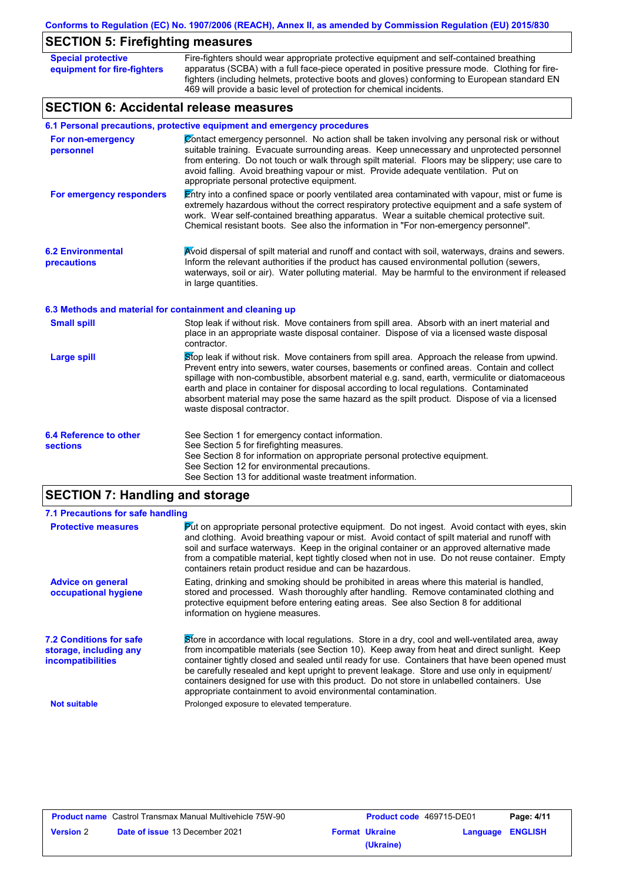# **SECTION 5: Firefighting measures**

| <b>Special protective</b><br>equipment for fire-fighters | Fire-fighters should wear appropriate protective equipment and self-contained breathing<br>apparatus (SCBA) with a full face-piece operated in positive pressure mode. Clothing for fire-<br>fighters (including helmets, protective boots and gloves) conforming to European standard EN<br>469 will provide a basic level of protection for chemical incidents.                                                                                                                                                     |
|----------------------------------------------------------|-----------------------------------------------------------------------------------------------------------------------------------------------------------------------------------------------------------------------------------------------------------------------------------------------------------------------------------------------------------------------------------------------------------------------------------------------------------------------------------------------------------------------|
| <b>SECTION 6: Accidental release measures</b>            |                                                                                                                                                                                                                                                                                                                                                                                                                                                                                                                       |
|                                                          | 6.1 Personal precautions, protective equipment and emergency procedures                                                                                                                                                                                                                                                                                                                                                                                                                                               |
| For non-emergency<br>personnel                           | Contact emergency personnel. No action shall be taken involving any personal risk or without<br>suitable training. Evacuate surrounding areas. Keep unnecessary and unprotected personnel<br>from entering. Do not touch or walk through spilt material. Floors may be slippery; use care to<br>avoid falling. Avoid breathing vapour or mist. Provide adequate ventilation. Put on<br>appropriate personal protective equipment.                                                                                     |
| For emergency responders                                 | Entry into a confined space or poorly ventilated area contaminated with vapour, mist or fume is<br>extremely hazardous without the correct respiratory protective equipment and a safe system of<br>work. Wear self-contained breathing apparatus. Wear a suitable chemical protective suit.<br>Chemical resistant boots. See also the information in "For non-emergency personnel".                                                                                                                                  |
| <b>6.2 Environmental</b><br>precautions                  | Avoid dispersal of spilt material and runoff and contact with soil, waterways, drains and sewers.<br>Inform the relevant authorities if the product has caused environmental pollution (sewers,<br>waterways, soil or air). Water polluting material. May be harmful to the environment if released<br>in large quantities.                                                                                                                                                                                           |
| 6.3 Methods and material for containment and cleaning up |                                                                                                                                                                                                                                                                                                                                                                                                                                                                                                                       |
| <b>Small spill</b>                                       | Stop leak if without risk. Move containers from spill area. Absorb with an inert material and<br>place in an appropriate waste disposal container. Dispose of via a licensed waste disposal<br>contractor.                                                                                                                                                                                                                                                                                                            |
| <b>Large spill</b>                                       | Stop leak if without risk. Move containers from spill area. Approach the release from upwind.<br>Prevent entry into sewers, water courses, basements or confined areas. Contain and collect<br>spillage with non-combustible, absorbent material e.g. sand, earth, vermiculite or diatomaceous<br>earth and place in container for disposal according to local regulations. Contaminated<br>absorbent material may pose the same hazard as the spilt product. Dispose of via a licensed<br>waste disposal contractor. |
| 6.4 Reference to other<br><b>sections</b>                | See Section 1 for emergency contact information.<br>See Section 5 for firefighting measures.<br>See Section 8 for information on appropriate personal protective equipment.<br>See Section 12 for environmental precautions.<br>See Section 13 for additional waste treatment information.                                                                                                                                                                                                                            |

# **SECTION 7: Handling and storage**

| 7.1 Precautions for safe handling                                             |                                                                                                                                                                                                                                                                                                                                                                                                                                                                                                                                                               |
|-------------------------------------------------------------------------------|---------------------------------------------------------------------------------------------------------------------------------------------------------------------------------------------------------------------------------------------------------------------------------------------------------------------------------------------------------------------------------------------------------------------------------------------------------------------------------------------------------------------------------------------------------------|
| <b>Protective measures</b>                                                    | <b>Put on appropriate personal protective equipment.</b> Do not ingest. Avoid contact with eyes, skin<br>and clothing. Avoid breathing vapour or mist. Avoid contact of spilt material and runoff with<br>soil and surface waterways. Keep in the original container or an approved alternative made<br>from a compatible material, kept tightly closed when not in use. Do not reuse container. Empty<br>containers retain product residue and can be hazardous.                                                                                             |
| <b>Advice on general</b><br>occupational hygiene                              | Eating, drinking and smoking should be prohibited in areas where this material is handled,<br>stored and processed. Wash thoroughly after handling. Remove contaminated clothing and<br>protective equipment before entering eating areas. See also Section 8 for additional<br>information on hygiene measures.                                                                                                                                                                                                                                              |
| <b>7.2 Conditions for safe</b><br>storage, including any<br>incompatibilities | Store in accordance with local regulations. Store in a dry, cool and well-ventilated area, away<br>from incompatible materials (see Section 10). Keep away from heat and direct sunlight. Keep<br>container tightly closed and sealed until ready for use. Containers that have been opened must<br>be carefully resealed and kept upright to prevent leakage. Store and use only in equipment/<br>containers designed for use with this product. Do not store in unlabelled containers. Use<br>appropriate containment to avoid environmental contamination. |
| <b>Not suitable</b>                                                           | Prolonged exposure to elevated temperature.                                                                                                                                                                                                                                                                                                                                                                                                                                                                                                                   |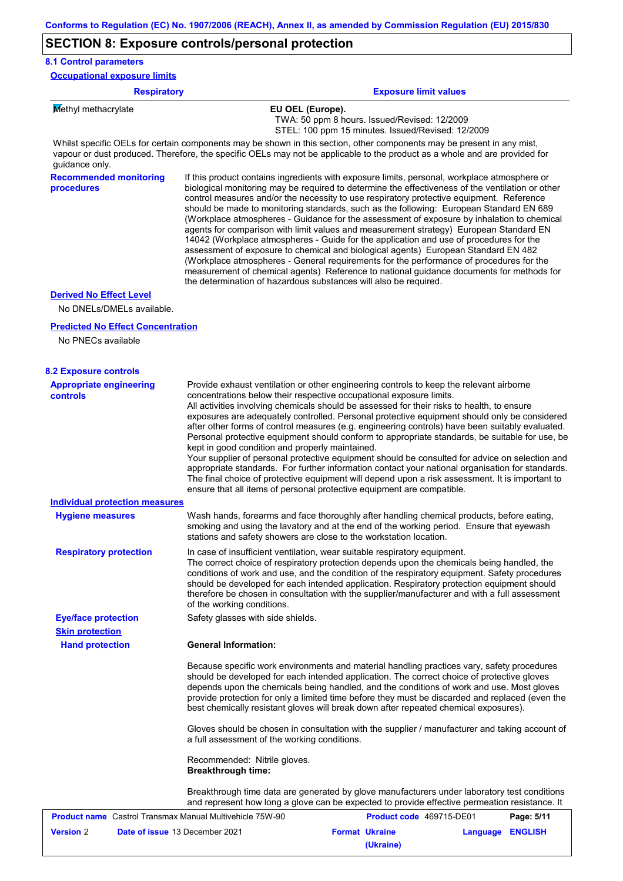# **SECTION 8: Exposure controls/personal protection**

| <b>Respiratory</b>                                             | <b>Exposure limit values</b>                                                                                                                                                                                                                                                                                                                                                                                                                                                                                                                                                                                                                                                                                                                                                                                                                                                                                                                                                                                               |
|----------------------------------------------------------------|----------------------------------------------------------------------------------------------------------------------------------------------------------------------------------------------------------------------------------------------------------------------------------------------------------------------------------------------------------------------------------------------------------------------------------------------------------------------------------------------------------------------------------------------------------------------------------------------------------------------------------------------------------------------------------------------------------------------------------------------------------------------------------------------------------------------------------------------------------------------------------------------------------------------------------------------------------------------------------------------------------------------------|
| Methyl methacrylate                                            | EU OEL (Europe).<br>TWA: 50 ppm 8 hours. Issued/Revised: 12/2009<br>STEL: 100 ppm 15 minutes. Issued/Revised: 12/2009                                                                                                                                                                                                                                                                                                                                                                                                                                                                                                                                                                                                                                                                                                                                                                                                                                                                                                      |
| guidance only.                                                 | Whilst specific OELs for certain components may be shown in this section, other components may be present in any mist,<br>vapour or dust produced. Therefore, the specific OELs may not be applicable to the product as a whole and are provided for                                                                                                                                                                                                                                                                                                                                                                                                                                                                                                                                                                                                                                                                                                                                                                       |
| <b>Recommended monitoring</b><br>procedures                    | If this product contains ingredients with exposure limits, personal, workplace atmosphere or<br>biological monitoring may be required to determine the effectiveness of the ventilation or other<br>control measures and/or the necessity to use respiratory protective equipment. Reference<br>should be made to monitoring standards, such as the following: European Standard EN 689<br>(Workplace atmospheres - Guidance for the assessment of exposure by inhalation to chemical<br>agents for comparison with limit values and measurement strategy) European Standard EN<br>14042 (Workplace atmospheres - Guide for the application and use of procedures for the<br>assessment of exposure to chemical and biological agents) European Standard EN 482<br>(Workplace atmospheres - General requirements for the performance of procedures for the<br>measurement of chemical agents) Reference to national guidance documents for methods for<br>the determination of hazardous substances will also be required. |
| <b>Derived No Effect Level</b>                                 |                                                                                                                                                                                                                                                                                                                                                                                                                                                                                                                                                                                                                                                                                                                                                                                                                                                                                                                                                                                                                            |
| No DNELs/DMELs available.                                      |                                                                                                                                                                                                                                                                                                                                                                                                                                                                                                                                                                                                                                                                                                                                                                                                                                                                                                                                                                                                                            |
| <b>Predicted No Effect Concentration</b><br>No PNECs available |                                                                                                                                                                                                                                                                                                                                                                                                                                                                                                                                                                                                                                                                                                                                                                                                                                                                                                                                                                                                                            |
| <b>8.2 Exposure controls</b>                                   |                                                                                                                                                                                                                                                                                                                                                                                                                                                                                                                                                                                                                                                                                                                                                                                                                                                                                                                                                                                                                            |
| <b>Appropriate engineering</b><br><b>controls</b>              | Provide exhaust ventilation or other engineering controls to keep the relevant airborne<br>concentrations below their respective occupational exposure limits.<br>All activities involving chemicals should be assessed for their risks to health, to ensure<br>exposures are adequately controlled. Personal protective equipment should only be considered<br>after other forms of control measures (e.g. engineering controls) have been suitably evaluated.<br>Personal protective equipment should conform to appropriate standards, be suitable for use, be<br>kept in good condition and properly maintained.<br>Your supplier of personal protective equipment should be consulted for advice on selection and<br>appropriate standards. For further information contact your national organisation for standards.<br>The final choice of protective equipment will depend upon a risk assessment. It is important to<br>ensure that all items of personal protective equipment are compatible.                    |
| <b>Individual protection measures</b>                          |                                                                                                                                                                                                                                                                                                                                                                                                                                                                                                                                                                                                                                                                                                                                                                                                                                                                                                                                                                                                                            |
| <b>Hygiene measures</b>                                        | Wash hands, forearms and face thoroughly after handling chemical products, before eating,<br>smoking and using the lavatory and at the end of the working period. Ensure that eyewash<br>stations and safety showers are close to the workstation location.                                                                                                                                                                                                                                                                                                                                                                                                                                                                                                                                                                                                                                                                                                                                                                |
| <b>Respiratory protection</b>                                  | In case of insufficient ventilation, wear suitable respiratory equipment.<br>The correct choice of respiratory protection depends upon the chemicals being handled, the<br>conditions of work and use, and the condition of the respiratory equipment. Safety procedures<br>should be developed for each intended application. Respiratory protection equipment should<br>therefore be chosen in consultation with the supplier/manufacturer and with a full assessment<br>of the working conditions.                                                                                                                                                                                                                                                                                                                                                                                                                                                                                                                      |
| <b>Eye/face protection</b>                                     | Safety glasses with side shields.                                                                                                                                                                                                                                                                                                                                                                                                                                                                                                                                                                                                                                                                                                                                                                                                                                                                                                                                                                                          |
| <b>Skin protection</b><br><b>Hand protection</b>               | <b>General Information:</b>                                                                                                                                                                                                                                                                                                                                                                                                                                                                                                                                                                                                                                                                                                                                                                                                                                                                                                                                                                                                |
|                                                                |                                                                                                                                                                                                                                                                                                                                                                                                                                                                                                                                                                                                                                                                                                                                                                                                                                                                                                                                                                                                                            |
|                                                                | Because specific work environments and material handling practices vary, safety procedures<br>should be developed for each intended application. The correct choice of protective gloves<br>depends upon the chemicals being handled, and the conditions of work and use. Most gloves<br>provide protection for only a limited time before they must be discarded and replaced (even the<br>best chemically resistant gloves will break down after repeated chemical exposures).                                                                                                                                                                                                                                                                                                                                                                                                                                                                                                                                           |
|                                                                | Gloves should be chosen in consultation with the supplier / manufacturer and taking account of<br>a full assessment of the working conditions.                                                                                                                                                                                                                                                                                                                                                                                                                                                                                                                                                                                                                                                                                                                                                                                                                                                                             |
|                                                                | Recommended: Nitrile gloves.<br><b>Breakthrough time:</b>                                                                                                                                                                                                                                                                                                                                                                                                                                                                                                                                                                                                                                                                                                                                                                                                                                                                                                                                                                  |

Breakthrough time data are generated by glove manufacturers under laboratory test conditions and represent how long a glove can be expected to provide effective permeation resistance. It

| <b>Product name</b> Castrol Transmax Manual Multivehicle 75W-90 |                                       | Product code 469715-DE01 |                       | Page: 5/11       |  |
|-----------------------------------------------------------------|---------------------------------------|--------------------------|-----------------------|------------------|--|
| <b>Version 2</b>                                                | <b>Date of issue 13 December 2021</b> |                          | <b>Format Ukraine</b> | Language ENGLISH |  |
|                                                                 |                                       |                          | (Ukraine)             |                  |  |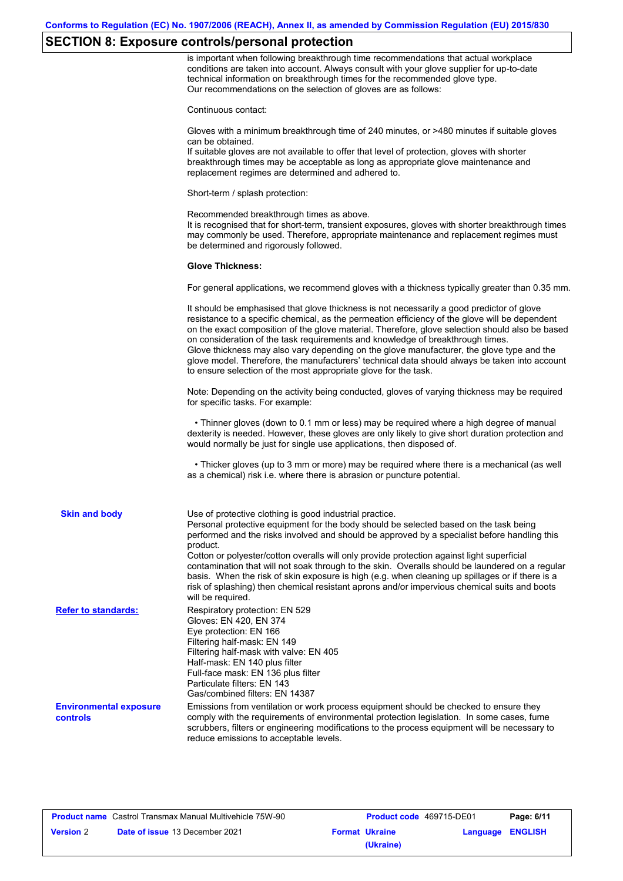### **SECTION 8: Exposure controls/personal protection**

is important when following breakthrough time recommendations that actual workplace conditions are taken into account. Always consult with your glove supplier for up-to-date technical information on breakthrough times for the recommended glove type. Our recommendations on the selection of gloves are as follows:

Continuous contact:

Gloves with a minimum breakthrough time of 240 minutes, or >480 minutes if suitable gloves can be obtained.

If suitable gloves are not available to offer that level of protection, gloves with shorter breakthrough times may be acceptable as long as appropriate glove maintenance and replacement regimes are determined and adhered to.

Short-term / splash protection:

Recommended breakthrough times as above. It is recognised that for short-term, transient exposures, gloves with shorter breakthrough times may commonly be used. Therefore, appropriate maintenance and replacement regimes must be determined and rigorously followed.

#### **Glove Thickness:**

For general applications, we recommend gloves with a thickness typically greater than 0.35 mm.

|                                           | It should be emphasised that glove thickness is not necessarily a good predictor of glove<br>resistance to a specific chemical, as the permeation efficiency of the glove will be dependent<br>on the exact composition of the glove material. Therefore, glove selection should also be based<br>on consideration of the task requirements and knowledge of breakthrough times.<br>Glove thickness may also vary depending on the glove manufacturer, the glove type and the<br>glove model. Therefore, the manufacturers' technical data should always be taken into account<br>to ensure selection of the most appropriate glove for the task.                                     |
|-------------------------------------------|---------------------------------------------------------------------------------------------------------------------------------------------------------------------------------------------------------------------------------------------------------------------------------------------------------------------------------------------------------------------------------------------------------------------------------------------------------------------------------------------------------------------------------------------------------------------------------------------------------------------------------------------------------------------------------------|
|                                           | Note: Depending on the activity being conducted, gloves of varying thickness may be required<br>for specific tasks. For example:                                                                                                                                                                                                                                                                                                                                                                                                                                                                                                                                                      |
|                                           | • Thinner gloves (down to 0.1 mm or less) may be required where a high degree of manual<br>dexterity is needed. However, these gloves are only likely to give short duration protection and<br>would normally be just for single use applications, then disposed of.                                                                                                                                                                                                                                                                                                                                                                                                                  |
|                                           | • Thicker gloves (up to 3 mm or more) may be required where there is a mechanical (as well<br>as a chemical) risk i.e. where there is abrasion or puncture potential.                                                                                                                                                                                                                                                                                                                                                                                                                                                                                                                 |
| <b>Skin and body</b>                      | Use of protective clothing is good industrial practice.<br>Personal protective equipment for the body should be selected based on the task being<br>performed and the risks involved and should be approved by a specialist before handling this<br>product.<br>Cotton or polyester/cotton overalls will only provide protection against light superficial<br>contamination that will not soak through to the skin. Overalls should be laundered on a regular<br>basis. When the risk of skin exposure is high (e.g. when cleaning up spillages or if there is a<br>risk of splashing) then chemical resistant aprons and/or impervious chemical suits and boots<br>will be required. |
| <b>Refer to standards:</b>                | Respiratory protection: EN 529<br>Gloves: EN 420, EN 374<br>Eye protection: EN 166<br>Filtering half-mask: EN 149<br>Filtering half-mask with valve: EN 405<br>Half-mask: EN 140 plus filter<br>Full-face mask: EN 136 plus filter<br>Particulate filters: EN 143<br>Gas/combined filters: EN 14387                                                                                                                                                                                                                                                                                                                                                                                   |
| <b>Environmental exposure</b><br>controls | Emissions from ventilation or work process equipment should be checked to ensure they<br>comply with the requirements of environmental protection legislation. In some cases, fume<br>scrubbers, filters or engineering modifications to the process equipment will be necessary to<br>reduce emissions to acceptable levels.                                                                                                                                                                                                                                                                                                                                                         |

| <b>Product name</b> Castrol Transmax Manual Multivehicle 75W-90 |                                       |  | <b>Product code</b> 469715-DE01 |                  | Page: 6/11 |
|-----------------------------------------------------------------|---------------------------------------|--|---------------------------------|------------------|------------|
| <b>Version 2</b>                                                | <b>Date of issue 13 December 2021</b> |  | <b>Format Ukraine</b>           | Language ENGLISH |            |
|                                                                 |                                       |  | (Ukraine)                       |                  |            |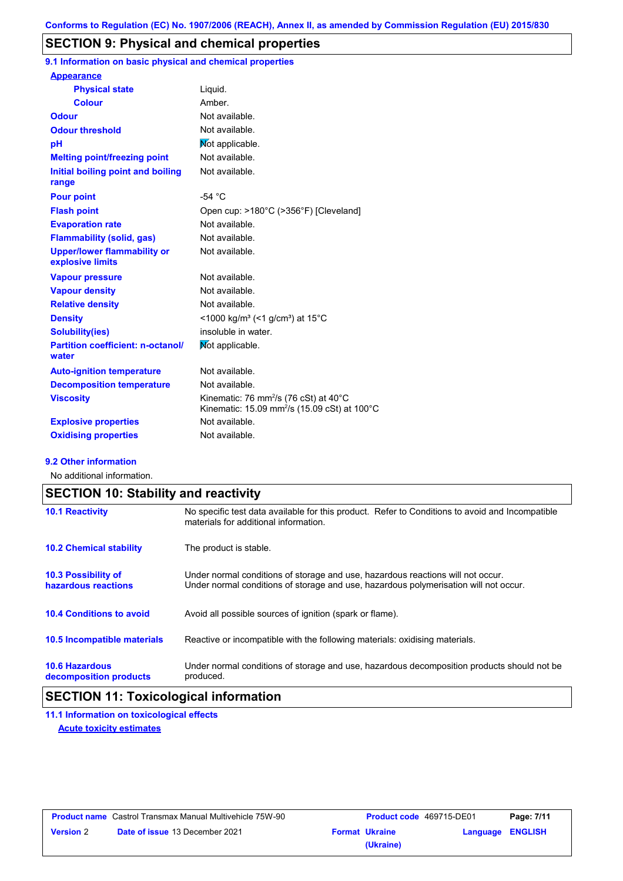### **SECTION 9: Physical and chemical properties**

**9.1 Information on basic physical and chemical properties**

| <b>Appearance</b>                                      |                                                                                                                                     |
|--------------------------------------------------------|-------------------------------------------------------------------------------------------------------------------------------------|
| <b>Physical state</b>                                  | Liquid.                                                                                                                             |
| <b>Colour</b>                                          | Amber                                                                                                                               |
| <b>Odour</b>                                           | Not available.                                                                                                                      |
| <b>Odour threshold</b>                                 | Not available.                                                                                                                      |
| рH                                                     | Not applicable.                                                                                                                     |
| <b>Melting point/freezing point</b>                    | Not available.                                                                                                                      |
| Initial boiling point and boiling<br>range             | Not available.                                                                                                                      |
| <b>Pour point</b>                                      | $-54 °C$                                                                                                                            |
| <b>Flash point</b>                                     | Open cup: >180°C (>356°F) [Cleveland]                                                                                               |
| <b>Evaporation rate</b>                                | Not available.                                                                                                                      |
| <b>Flammability (solid, gas)</b>                       | Not available.                                                                                                                      |
| <b>Upper/lower flammability or</b><br>explosive limits | Not available.                                                                                                                      |
| <b>Vapour pressure</b>                                 | Not available.                                                                                                                      |
| <b>Vapour density</b>                                  | Not available.                                                                                                                      |
| <b>Relative density</b>                                | Not available.                                                                                                                      |
| <b>Density</b>                                         | <1000 kg/m <sup>3</sup> (<1 g/cm <sup>3</sup> ) at 15 <sup>°</sup> C                                                                |
| <b>Solubility(ies)</b>                                 | insoluble in water.                                                                                                                 |
| <b>Partition coefficient: n-octanol/</b><br>water      | Mot applicable.                                                                                                                     |
| <b>Auto-ignition temperature</b>                       | Not available.                                                                                                                      |
| <b>Decomposition temperature</b>                       | Not available.                                                                                                                      |
| <b>Viscosity</b>                                       | Kinematic: 76 mm <sup>2</sup> /s (76 cSt) at 40 $^{\circ}$ C<br>Kinematic: 15.09 mm <sup>2</sup> /s (15.09 cSt) at 100 $^{\circ}$ C |
| <b>Explosive properties</b>                            | Not available.                                                                                                                      |
| <b>Oxidising properties</b>                            | Not available.                                                                                                                      |

### **9.2 Other information**

No additional information.

|                                                   | <b>SECTION 10: Stability and reactivity</b>                                                                                                                             |  |  |  |  |
|---------------------------------------------------|-------------------------------------------------------------------------------------------------------------------------------------------------------------------------|--|--|--|--|
| <b>10.1 Reactivity</b>                            | No specific test data available for this product. Refer to Conditions to avoid and Incompatible<br>materials for additional information.                                |  |  |  |  |
| <b>10.2 Chemical stability</b>                    | The product is stable.                                                                                                                                                  |  |  |  |  |
| <b>10.3 Possibility of</b><br>hazardous reactions | Under normal conditions of storage and use, hazardous reactions will not occur.<br>Under normal conditions of storage and use, hazardous polymerisation will not occur. |  |  |  |  |
| <b>10.4 Conditions to avoid</b>                   | Avoid all possible sources of ignition (spark or flame).                                                                                                                |  |  |  |  |
| 10.5 Incompatible materials                       | Reactive or incompatible with the following materials: oxidising materials.                                                                                             |  |  |  |  |
| <b>10.6 Hazardous</b><br>decomposition products   | Under normal conditions of storage and use, hazardous decomposition products should not be<br>produced.                                                                 |  |  |  |  |

# **SECTION 11: Toxicological information**

**11.1 Information on toxicological effects Acute toxicity estimates**

| <b>Product name</b> Castrol Transmax Manual Multivehicle 75W-90 |                                       | <b>Product code</b> 469715-DE01 |                       | Page: 7/11       |  |
|-----------------------------------------------------------------|---------------------------------------|---------------------------------|-----------------------|------------------|--|
| <b>Version 2</b>                                                | <b>Date of issue 13 December 2021</b> |                                 | <b>Format Ukraine</b> | Language ENGLISH |  |
|                                                                 |                                       |                                 | (Ukraine)             |                  |  |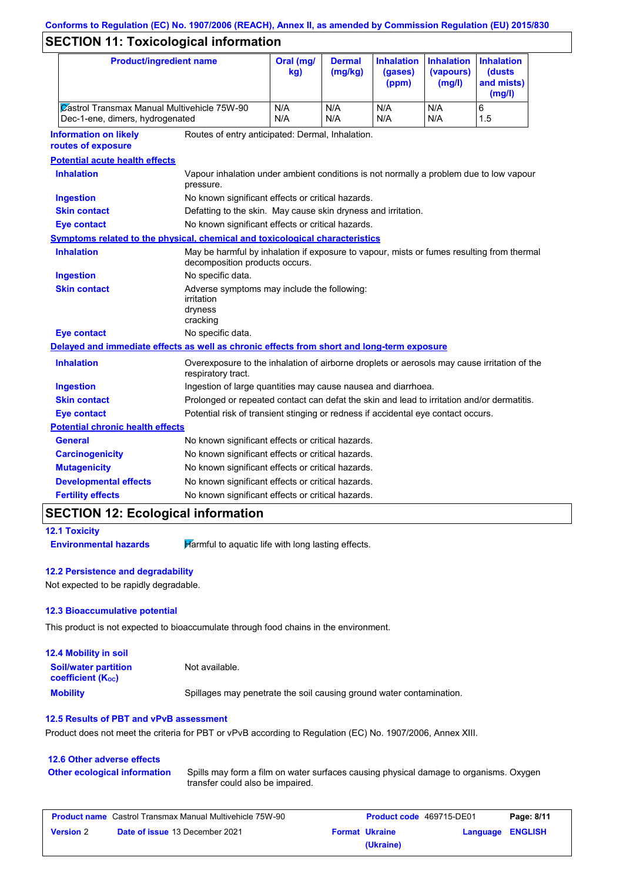# **Conforms to Regulation (EC) No. 1907/2006 (REACH), Annex II, as amended by Commission Regulation (EU) 2015/830**

# **SECTION 11: Toxicological information**

|                                         | <b>Product/ingredient name</b>                                                             |                                                                                                                             | Oral (mg/<br>kg) | <b>Dermal</b><br>(mg/kg)                                                          | <b>Inhalation</b><br>(gases)<br>(ppm) | <b>Inhalation</b><br>(vapours)<br>(mg/l)                                                    | <b>Inhalation</b><br>(dusts<br>and mists)<br>(mg/l) |  |
|-----------------------------------------|--------------------------------------------------------------------------------------------|-----------------------------------------------------------------------------------------------------------------------------|------------------|-----------------------------------------------------------------------------------|---------------------------------------|---------------------------------------------------------------------------------------------|-----------------------------------------------------|--|
|                                         | Castrol Transmax Manual Multivehicle 75W-90<br>Dec-1-ene, dimers, hydrogenated             |                                                                                                                             | N/A<br>N/A       | N/A<br>N/A                                                                        | N/A<br>N/A                            | N/A<br>N/A                                                                                  | 6<br>1.5                                            |  |
|                                         | <b>Information on likely</b><br>routes of exposure                                         | Routes of entry anticipated: Dermal, Inhalation.                                                                            |                  |                                                                                   |                                       |                                                                                             |                                                     |  |
|                                         | <b>Potential acute health effects</b>                                                      |                                                                                                                             |                  |                                                                                   |                                       |                                                                                             |                                                     |  |
|                                         | <b>Inhalation</b>                                                                          | Vapour inhalation under ambient conditions is not normally a problem due to low vapour<br>pressure.                         |                  |                                                                                   |                                       |                                                                                             |                                                     |  |
|                                         | <b>Ingestion</b>                                                                           | No known significant effects or critical hazards.                                                                           |                  |                                                                                   |                                       |                                                                                             |                                                     |  |
|                                         | <b>Skin contact</b>                                                                        | Defatting to the skin. May cause skin dryness and irritation.                                                               |                  |                                                                                   |                                       |                                                                                             |                                                     |  |
|                                         | <b>Eye contact</b>                                                                         | No known significant effects or critical hazards.                                                                           |                  |                                                                                   |                                       |                                                                                             |                                                     |  |
|                                         | Symptoms related to the physical, chemical and toxicological characteristics               |                                                                                                                             |                  |                                                                                   |                                       |                                                                                             |                                                     |  |
|                                         | <b>Inhalation</b>                                                                          | May be harmful by inhalation if exposure to vapour, mists or fumes resulting from thermal<br>decomposition products occurs. |                  |                                                                                   |                                       |                                                                                             |                                                     |  |
|                                         | <b>Ingestion</b>                                                                           | No specific data.                                                                                                           |                  |                                                                                   |                                       |                                                                                             |                                                     |  |
|                                         | <b>Skin contact</b>                                                                        | Adverse symptoms may include the following:<br>irritation<br>dryness<br>cracking                                            |                  |                                                                                   |                                       |                                                                                             |                                                     |  |
|                                         | <b>Eye contact</b>                                                                         | No specific data.                                                                                                           |                  |                                                                                   |                                       |                                                                                             |                                                     |  |
|                                         | Delayed and immediate effects as well as chronic effects from short and long-term exposure |                                                                                                                             |                  |                                                                                   |                                       |                                                                                             |                                                     |  |
|                                         | <b>Inhalation</b>                                                                          |                                                                                                                             |                  |                                                                                   |                                       | Overexposure to the inhalation of airborne droplets or aerosols may cause irritation of the |                                                     |  |
|                                         | <b>Ingestion</b>                                                                           | Ingestion of large quantities may cause nausea and diarrhoea.                                                               |                  |                                                                                   |                                       |                                                                                             |                                                     |  |
|                                         | <b>Skin contact</b>                                                                        | Prolonged or repeated contact can defat the skin and lead to irritation and/or dermatitis.                                  |                  |                                                                                   |                                       |                                                                                             |                                                     |  |
|                                         | <b>Eye contact</b>                                                                         |                                                                                                                             |                  | Potential risk of transient stinging or redness if accidental eye contact occurs. |                                       |                                                                                             |                                                     |  |
| <b>Potential chronic health effects</b> |                                                                                            |                                                                                                                             |                  |                                                                                   |                                       |                                                                                             |                                                     |  |
|                                         | General                                                                                    | No known significant effects or critical hazards.                                                                           |                  |                                                                                   |                                       |                                                                                             |                                                     |  |
|                                         | <b>Carcinogenicity</b>                                                                     | No known significant effects or critical hazards.                                                                           |                  |                                                                                   |                                       |                                                                                             |                                                     |  |
|                                         | <b>Mutagenicity</b>                                                                        | No known significant effects or critical hazards.                                                                           |                  |                                                                                   |                                       |                                                                                             |                                                     |  |
|                                         | <b>Developmental effects</b>                                                               | No known significant effects or critical hazards.                                                                           |                  |                                                                                   |                                       |                                                                                             |                                                     |  |
|                                         | <b>Fertility effects</b>                                                                   | No known significant effects or critical hazards.                                                                           |                  |                                                                                   |                                       |                                                                                             |                                                     |  |
|                                         |                                                                                            |                                                                                                                             |                  |                                                                                   |                                       |                                                                                             |                                                     |  |

### **SECTION 12: Ecological information**

**12.1 Toxicity**

**Environmental hazards Harmful to aquatic life with long lasting effects.** 

### **12.2 Persistence and degradability**

Not expected to be rapidly degradable.

### **12.3 Bioaccumulative potential**

This product is not expected to bioaccumulate through food chains in the environment.

| <b>12.4 Mobility in soil</b>                                  |                                                                      |
|---------------------------------------------------------------|----------------------------------------------------------------------|
| <b>Soil/water partition</b><br>coefficient (K <sub>oc</sub> ) | Not available.                                                       |
| <b>Mobility</b>                                               | Spillages may penetrate the soil causing ground water contamination. |

### **12.5 Results of PBT and vPvB assessment**

Product does not meet the criteria for PBT or vPvB according to Regulation (EC) No. 1907/2006, Annex XIII.

### **12.6 Other adverse effects Other ecological information**

Spills may form a film on water surfaces causing physical damage to organisms. Oxygen transfer could also be impaired.

| <b>Product name</b> Castrol Transmax Manual Multivehicle 75W-90 |                                       | <b>Product code</b> 469715-DE01 |                       | Page: 8/11       |  |
|-----------------------------------------------------------------|---------------------------------------|---------------------------------|-----------------------|------------------|--|
| <b>Version 2</b>                                                | <b>Date of issue 13 December 2021</b> |                                 | <b>Format Ukraine</b> | Language ENGLISH |  |
|                                                                 |                                       |                                 | (Ukraine)             |                  |  |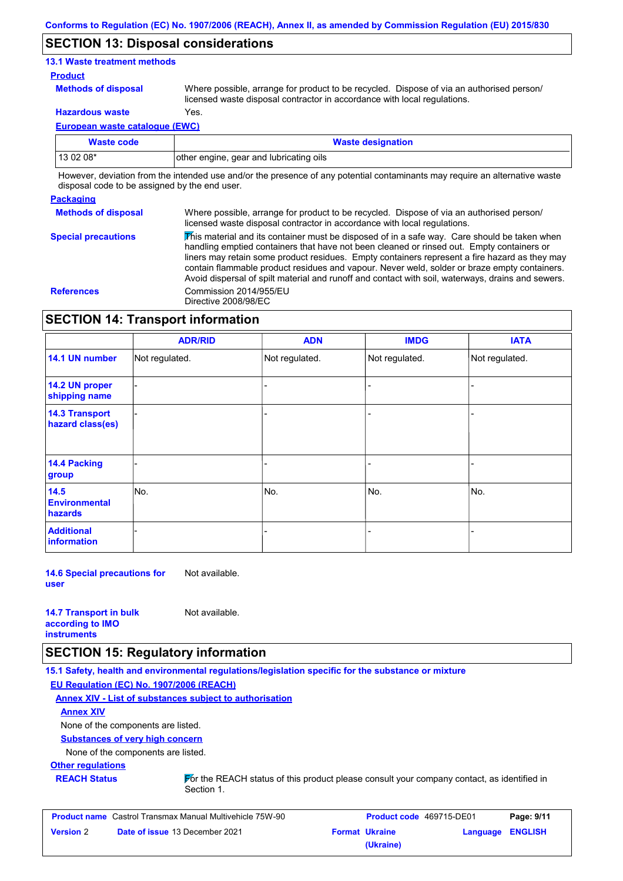### **SECTION 13: Disposal considerations**

### **13.1 Waste treatment methods**

### **Product**

**Methods of disposal**

Where possible, arrange for product to be recycled. Dispose of via an authorised person/ licensed waste disposal contractor in accordance with local regulations.

**Hazardous waste** Yes.

**European waste catalogue (EWC)**

| <b>Waste code</b> | <b>Waste designation</b>                |
|-------------------|-----------------------------------------|
| 13 02 08*         | other engine, gear and lubricating oils |

However, deviation from the intended use and/or the presence of any potential contaminants may require an alternative waste disposal code to be assigned by the end user.

### **Packaging**

**Methods of disposal Special precautions** Where possible, arrange for product to be recycled. Dispose of via an authorised person/ licensed waste disposal contractor in accordance with local regulations.

 $\overline{\mathbf{\mathcal{V}}}$ his material and its container must be disposed of in a safe way. Care should be taken when handling emptied containers that have not been cleaned or rinsed out. Empty containers or liners may retain some product residues. Empty containers represent a fire hazard as they may contain flammable product residues and vapour. Never weld, solder or braze empty containers. Avoid dispersal of spilt material and runoff and contact with soil, waterways, drains and sewers. **References** Commission 2014/955/EU Directive 2008/98/EC

### **SECTION 14: Transport information**

|                                           | <b>ADR/RID</b> | <b>ADN</b>     | <b>IMDG</b>    | <b>IATA</b>    |
|-------------------------------------------|----------------|----------------|----------------|----------------|
| 14.1 UN number                            | Not regulated. | Not regulated. | Not regulated. | Not regulated. |
| 14.2 UN proper<br>shipping name           |                |                | -              |                |
| <b>14.3 Transport</b><br>hazard class(es) |                |                | -              |                |
| 14.4 Packing<br>group                     |                |                | -              |                |
| 14.5<br><b>Environmental</b><br>hazards   | No.            | No.            | No.            | No.            |
| <b>Additional</b><br><b>information</b>   |                |                |                |                |

**14.6 Special precautions for user** Not available.

| <b>14.7 Transport in bulk</b> | Not available. |
|-------------------------------|----------------|
| according to <b>IMO</b>       |                |
| <b>instruments</b>            |                |

### **SECTION 15: Regulatory information**

**15.1 Safety, health and environmental regulations/legislation specific for the substance or mixture**

**EU Regulation (EC) No. 1907/2006 (REACH)**

**Annex XIV - List of substances subject to authorisation**

**Annex XIV**

None of the components are listed.

**Substances of very high concern**

None of the components are listed.

**Other regulations**

**REACH Status For the REACH status of this product please consult your company contact, as identified in** Section 1.

| <b>Product name</b> Castrol Transmax Manual Multivehicle 75W-90 |                                       | <b>Product code</b> 469715-DE01 |                       | Page: 9/11       |  |
|-----------------------------------------------------------------|---------------------------------------|---------------------------------|-----------------------|------------------|--|
| <b>Version 2</b>                                                | <b>Date of issue 13 December 2021</b> |                                 | <b>Format Ukraine</b> | Language ENGLISH |  |
|                                                                 |                                       |                                 | (Ukraine)             |                  |  |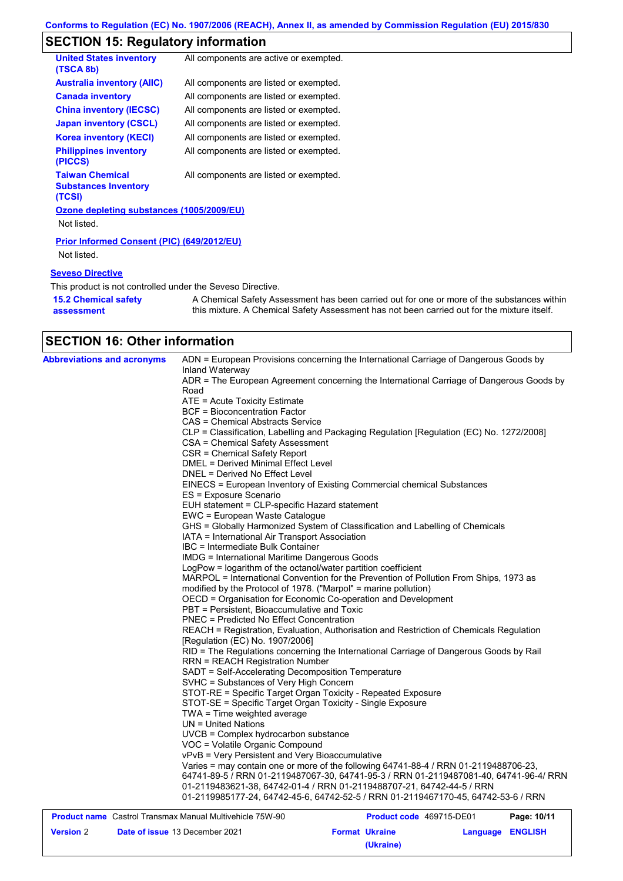# **SECTION 15: Regulatory information**

| <b>United States inventory</b><br>(TSCA 8b)                      | All components are active or exempted. |
|------------------------------------------------------------------|----------------------------------------|
| <b>Australia inventory (AIIC)</b>                                | All components are listed or exempted. |
| <b>Canada inventory</b>                                          | All components are listed or exempted. |
| <b>China inventory (IECSC)</b>                                   | All components are listed or exempted. |
| <b>Japan inventory (CSCL)</b>                                    | All components are listed or exempted. |
| <b>Korea inventory (KECI)</b>                                    | All components are listed or exempted. |
| <b>Philippines inventory</b><br>(PICCS)                          | All components are listed or exempted. |
| <b>Taiwan Chemical</b><br><b>Substances Inventory</b><br>(TCSI)  | All components are listed or exempted. |
| Ozone depleting substances (1005/2009/EU)                        |                                        |
| Not listed.                                                      |                                        |
| <b>Prior Informed Consent (PIC) (649/2012/EU)</b><br>Not listed. |                                        |

### **Seveso Directive**

This product is not controlled under the Seveso Directive.

| <b>15.2 Chemical safety</b> | A Chemical Safety Assessment has been carried out for one or more of the substances within  |
|-----------------------------|---------------------------------------------------------------------------------------------|
| assessment                  | this mixture. A Chemical Safety Assessment has not been carried out for the mixture itself. |

# **SECTION 16: Other information**

| <b>Abbreviations and acronyms</b> | ADN = European Provisions concerning the International Carriage of Dangerous Goods by            |
|-----------------------------------|--------------------------------------------------------------------------------------------------|
|                                   | Inland Waterway                                                                                  |
|                                   | ADR = The European Agreement concerning the International Carriage of Dangerous Goods by<br>Road |
|                                   | ATE = Acute Toxicity Estimate                                                                    |
|                                   | BCF = Bioconcentration Factor                                                                    |
|                                   | <b>CAS = Chemical Abstracts Service</b>                                                          |
|                                   |                                                                                                  |
|                                   | CLP = Classification, Labelling and Packaging Regulation [Regulation (EC) No. 1272/2008]         |
|                                   | CSA = Chemical Safety Assessment                                                                 |
|                                   | CSR = Chemical Safety Report<br>DMEL = Derived Minimal Effect Level                              |
|                                   |                                                                                                  |
|                                   | DNEL = Derived No Effect Level                                                                   |
|                                   | EINECS = European Inventory of Existing Commercial chemical Substances                           |
|                                   | ES = Exposure Scenario                                                                           |
|                                   | EUH statement = CLP-specific Hazard statement                                                    |
|                                   | EWC = European Waste Catalogue                                                                   |
|                                   | GHS = Globally Harmonized System of Classification and Labelling of Chemicals                    |
|                                   | IATA = International Air Transport Association                                                   |
|                                   | IBC = Intermediate Bulk Container                                                                |
|                                   | IMDG = International Maritime Dangerous Goods                                                    |
|                                   | LogPow = logarithm of the octanol/water partition coefficient                                    |
|                                   | MARPOL = International Convention for the Prevention of Pollution From Ships, 1973 as            |
|                                   | modified by the Protocol of 1978. ("Marpol" = marine pollution)                                  |
|                                   | OECD = Organisation for Economic Co-operation and Development                                    |
|                                   | PBT = Persistent, Bioaccumulative and Toxic                                                      |
|                                   | PNEC = Predicted No Effect Concentration                                                         |
|                                   | REACH = Registration, Evaluation, Authorisation and Restriction of Chemicals Regulation          |
|                                   | [Regulation (EC) No. 1907/2006]                                                                  |
|                                   | RID = The Regulations concerning the International Carriage of Dangerous Goods by Rail           |
|                                   | <b>RRN = REACH Registration Number</b>                                                           |
|                                   | SADT = Self-Accelerating Decomposition Temperature                                               |
|                                   | SVHC = Substances of Very High Concern                                                           |
|                                   | STOT-RE = Specific Target Organ Toxicity - Repeated Exposure                                     |
|                                   | STOT-SE = Specific Target Organ Toxicity - Single Exposure                                       |
|                                   | TWA = Time weighted average                                                                      |
|                                   | UN = United Nations                                                                              |
|                                   | UVCB = Complex hydrocarbon substance                                                             |
|                                   | VOC = Volatile Organic Compound                                                                  |
|                                   | vPvB = Very Persistent and Very Bioaccumulative                                                  |
|                                   | Varies = may contain one or more of the following 64741-88-4 / RRN 01-2119488706-23,             |
|                                   | 64741-89-5 / RRN 01-2119487067-30, 64741-95-3 / RRN 01-2119487081-40, 64741-96-4/ RRN            |
|                                   | 01-2119483621-38, 64742-01-4 / RRN 01-2119488707-21, 64742-44-5 / RRN                            |
|                                   | 01-2119985177-24, 64742-45-6, 64742-52-5 / RRN 01-2119467170-45, 64742-53-6 / RRN                |

| <b>Product name</b> Castrol Transmax Manual Multivehicle 75W-90 |                                       | <b>Product code</b> 469715-DE01 |                       | Page: 10/11             |  |
|-----------------------------------------------------------------|---------------------------------------|---------------------------------|-----------------------|-------------------------|--|
| <b>Version 2</b>                                                | <b>Date of issue 13 December 2021</b> |                                 | <b>Format Ukraine</b> | <b>Language ENGLISH</b> |  |
|                                                                 |                                       |                                 | (Ukraine)             |                         |  |